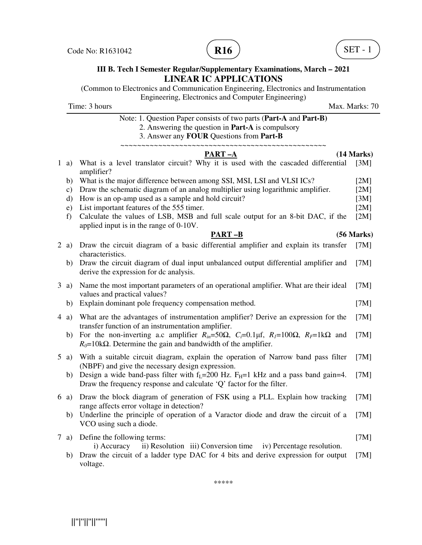

(Common to Electronics and Communication Engineering, Electronics and Instrumentation Engineering, Electronics and Computer Engineering)

Time: 3 hours Max. Marks: 70

# Note: 1. Question Paper consists of two parts (**Part-A** and **Part-B)**

2. Answering the question in **Part-A** is compulsory

3. Answer any **FOUR** Questions from **Part-B**

# ~~~~~~~~~~~~~~~~~~~~~~~~~~~~~~~~~~~~~~~~~~~~~~~~~

|        | <b>PART-A</b>                                                                                                                                                                                             | (14 Marks) |
|--------|-----------------------------------------------------------------------------------------------------------------------------------------------------------------------------------------------------------|------------|
| $1$ a) | What is a level translator circuit? Why it is used with the cascaded differential<br>amplifier?                                                                                                           | [3M]       |
| b)     | What is the major difference between among SSI, MSI, LSI and VLSI ICs?                                                                                                                                    | [2M]       |
| c)     | Draw the schematic diagram of an analog multiplier using logarithmic amplifier.                                                                                                                           | [2M]       |
| d)     | How is an op-amp used as a sample and hold circuit?                                                                                                                                                       | [3M]       |
| e)     | List important features of the 555 timer.                                                                                                                                                                 | [2M]       |
| f      | Calculate the values of LSB, MSB and full scale output for an 8-bit DAC, if the<br>applied input is in the range of 0-10V.                                                                                | [2M]       |
|        | <b>PART-B</b>                                                                                                                                                                                             | (56 Marks) |
| $2$ a) | Draw the circuit diagram of a basic differential amplifier and explain its transfer<br>characteristics.                                                                                                   | [7M]       |
| b)     | Draw the circuit diagram of dual input unbalanced output differential amplifier and<br>derive the expression for dc analysis.                                                                             | [7M]       |
| $3$ a) | Name the most important parameters of an operational amplifier. What are their ideal<br>values and practical values?                                                                                      | [7M]       |
| b)     | Explain dominant pole frequency compensation method.                                                                                                                                                      | [7M]       |
| 4a)    | What are the advantages of instrumentation amplifier? Derive an expression for the<br>transfer function of an instrumentation amplifier.                                                                  | [7M]       |
| b)     | For the non-inverting a.c amplifier $R_{in} = 50\Omega$ , $C_i = 0.1 \mu f$ , $R_i = 100\Omega$ , $R_i = 1 \kappa \Omega$ and<br>$R_0$ =10k $\Omega$ . Determine the gain and bandwidth of the amplifier. | [7M]       |
| $5$ a) | With a suitable circuit diagram, explain the operation of Narrow band pass filter<br>(NBPF) and give the necessary design expression.                                                                     | [7M]       |
| b)     | Design a wide band-pass filter with $f_L$ =200 Hz. $F_H$ =1 kHz and a pass band gain=4.<br>Draw the frequency response and calculate 'Q' factor for the filter.                                           | [7M]       |
| 6a)    | Draw the block diagram of generation of FSK using a PLL. Explain how tracking<br>range affects error voltage in detection?                                                                                | [7M]       |
| b)     | Underline the principle of operation of a Varactor diode and draw the circuit of a<br>VCO using such a diode.                                                                                             | [7M]       |
| $7$ a) | Define the following terms:<br>ii) Resolution iii) Conversion time<br>iv) Percentage resolution.<br>i) Accuracy                                                                                           | [7M]       |

b) Draw the circuit of a ladder type DAC for 4 bits and derive expression for output [7M] voltage.

\*\*\*\*\*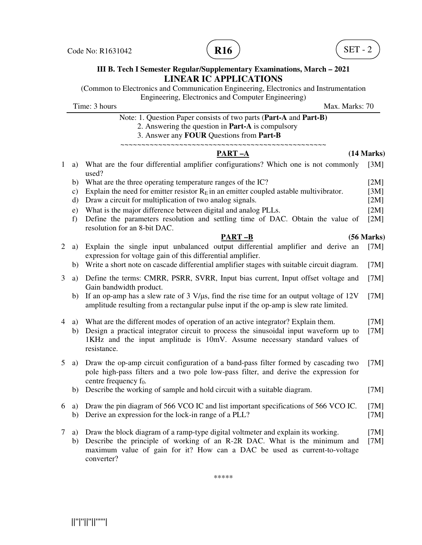

(Common to Electronics and Communication Engineering, Electronics and Instrumentation Engineering, Electronics and Computer Engineering)

Time: 3 hours Max. Marks: 70

Note: 1. Question Paper consists of two parts (**Part-A** and **Part-B)**

2. Answering the question in **Part-A** is compulsory

3. Answer any **FOUR** Questions from **Part-B**

### ~~~~~~~~~~~~~~~~~~~~~~~~~~~~~~~~~~~~~~~~~~~~~~~~~ **PART –A (14 Marks)**

|  | 1 a) What are the four differential amplifier configurations? Which one is not commonly [3M]                                                                                                                                                  |              |
|--|-----------------------------------------------------------------------------------------------------------------------------------------------------------------------------------------------------------------------------------------------|--------------|
|  | used?                                                                                                                                                                                                                                         |              |
|  | $\mathbf{1} \setminus \mathbf{W}$ $\mathbf{1} \setminus \mathbf{1}$ $\mathbf{1} \setminus \mathbf{1}$ $\mathbf{1} \setminus \mathbf{1}$ $\mathbf{1} \setminus \mathbf{1}$ $\mathbf{1} \setminus \mathbf{1}$ $\mathbf{1} \setminus \mathbf{1}$ | <b>EN 11</b> |

- b) What are the three operating temperature ranges of the IC? [2M]
- c) Explain the need for emitter resistor  $R_E$  in an emitter coupled astable multivibrator. [3M]
- d) Draw a circuit for multiplication of two analog signals. [2M]
- e) What is the major difference between digital and analog PLLs. [2M]
- f) Define the parameters resolution and settling time of DAC. Obtain the value of resolution for an 8-bit DAC. [2M]

### **PART –B (56 Marks)**

- 2 a) Explain the single input unbalanced output differential amplifier and derive an expression for voltage gain of this differential amplifier. [7M]
	- b) Write a short note on cascade differential amplifier stages with suitable circuit diagram. [7M]
- 3 a) Define the terms: CMRR, PSRR, SVRR, Input bias current, Input offset voltage and Gain bandwidth product. [7M]
	- b) If an op-amp has a slew rate of 3 V/μs, find the rise time for an output voltage of 12V amplitude resulting from a rectangular pulse input if the op-amp is slew rate limited. [7M]
- 4 a) What are the different modes of operation of an active integrator? Explain them. [7M]
	- b) Design a practical integrator circuit to process the sinusoidal input waveform up to 1KHz and the input amplitude is 10mV. Assume necessary standard values of resistance. [7M]
- 5 a) Draw the op-amp circuit configuration of a band-pass filter formed by cascading two pole high-pass filters and a two pole low-pass filter, and derive the expression for centre frequency  $f_0$ . [7M]
	- b) Describe the working of sample and hold circuit with a suitable diagram. [7M]
- 6 a) Draw the pin diagram of 566 VCO IC and list important specifications of 566 VCO IC. [7M] b) Derive an expression for the lock-in range of a PLL? [7M]
- 7 a) Draw the block diagram of a ramp-type digital voltmeter and explain its working. [7M]
	- b) Describe the principle of working of an R-2R DAC. What is the minimum and maximum value of gain for it? How can a DAC be used as current-to-voltage converter? [7M]

\*\*\*\*\*

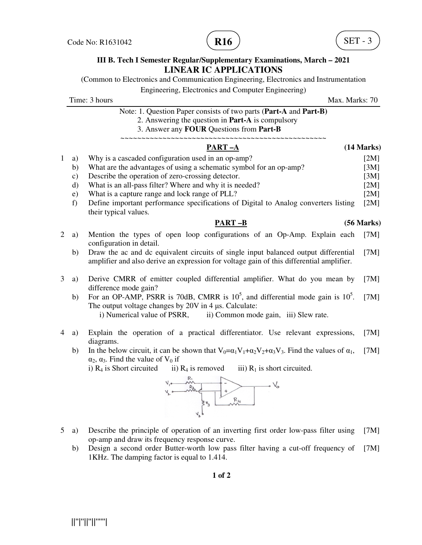(Common to Electronics and Communication Engineering, Electronics and Instrumentation

Engineering, Electronics and Computer Engineering)

Time: 3 hours Max. Marks: 70 Note: 1. Question Paper consists of two parts (**Part-A** and **Part-B)** 2. Answering the question in **Part-A** is compulsory 3. Answer any **FOUR** Questions from **Part-B** ~~~~~~~~~~~~~~~~~~~~~~~~~~~~~~~~~~~~~~~~~~~~~~~~~

|              |              | PART-A                                                                                                                                                                                                              | (14 Marks) |
|--------------|--------------|---------------------------------------------------------------------------------------------------------------------------------------------------------------------------------------------------------------------|------------|
| $\mathbf{1}$ | a)           | Why is a cascaded configuration used in an op-amp?                                                                                                                                                                  | [2M]       |
|              | b)           | What are the advantages of using a schematic symbol for an op-amp?                                                                                                                                                  | [3M]       |
|              | c)           | Describe the operation of zero-crossing detector.                                                                                                                                                                   | [3M]       |
|              | $\mathbf{d}$ | What is an all-pass filter? Where and why it is needed?                                                                                                                                                             | [2M]       |
|              | e)           | What is a capture range and lock range of PLL?                                                                                                                                                                      | [2M]       |
|              | f            | Define important performance specifications of Digital to Analog converters listing<br>their typical values.                                                                                                        | [2M]       |
|              |              | $PART-B$                                                                                                                                                                                                            | (56 Marks) |
| 2            | a)           | Mention the types of open loop configurations of an Op-Amp. Explain each<br>configuration in detail.                                                                                                                | [7M]       |
|              | b)           | Draw the ac and dc equivalent circuits of single input balanced output differential<br>amplifier and also derive an expression for voltage gain of this differential amplifier.                                     | [7M]       |
| 3            | a)           | Derive CMRR of emitter coupled differential amplifier. What do you mean by<br>difference mode gain?                                                                                                                 | [7M]       |
|              | b)           | For an OP-AMP, PSRR is 70dB, CMRR is $105$ , and differential mode gain is $105$ .<br>The output voltage changes by 20V in 4 µs. Calculate:<br>i) Numerical value of PSRR,<br>ii) Common mode gain, iii) Slew rate. | [7M]       |
| 4            | a)           | Explain the operation of a practical differentiator. Use relevant expressions,<br>diagrams.                                                                                                                         | [7M]       |
|              | b)           | In the below circuit, it can be shown that $V_0 = \alpha_1 V_1 + \alpha_2 V_2 + \alpha_3 V_3$ . Find the values of $\alpha_1$ ,<br>$\alpha_2$ , $\alpha_3$ . Find the value of V <sub>0</sub> if                    | [7M]       |

i)  $R_4$  is Short circuited ii)  $R_4$  is removed iii)  $R_1$  is short circuited.



- 5 a) Describe the principle of operation of an inverting first order low-pass filter using op-amp and draw its frequency response curve. [7M]
	- b) Design a second order Butter-worth low pass filter having a cut-off frequency of 1KHz. The damping factor is equal to 1.414. [7M]

**1 of 2** 

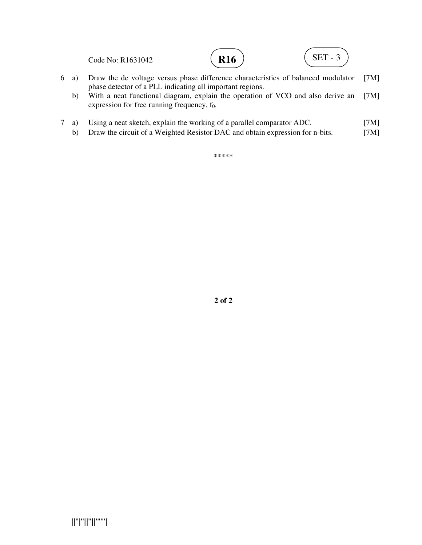Code No: R1631042 6 a) Draw the dc voltage versus phase difference characteristics of balanced modulator phase detector of a PLL indicating all important regions. **R16**  $\left( \text{SET - 3} \right)$ 

 b) With a neat functional diagram, explain the operation of VCO and also derive an expression for free running frequency,  $f_0$ . [7M]

[7M]

- 7 a) Using a neat sketch, explain the working of a parallel comparator ADC. [7M]
	- b) Draw the circuit of a Weighted Resistor DAC and obtain expression for n-bits. [7M]

\*\*\*\*\*

**2 of 2**